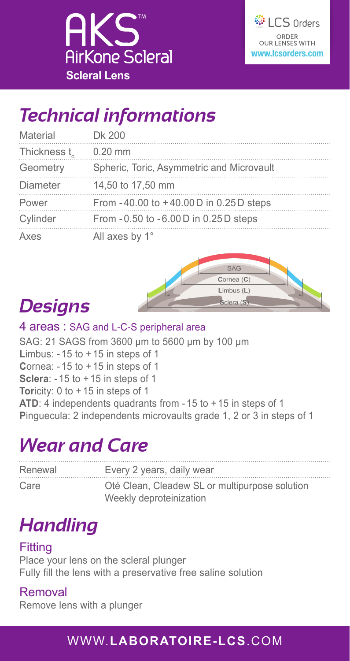



### *Technical informations*

| Material    | Dk 200                                    |
|-------------|-------------------------------------------|
| Thickness t | $0.20$ mm                                 |
| Geometry    | Spheric, Toric, Asymmetric and Microvault |
| Diameter    | 14,50 to 17,50 mm                         |
| Power       | From -40.00 to +40.00 D in 0.25 D steps   |
| Cylinder    | From -0.50 to -6.00 D in 0.25 D steps     |
| Axes        | All axes by 1°                            |



# *Designs*

#### 4 areas : SAG and L-C-S peripheral area

SAG: 21 SAGS from 3600 μm to 5600 μm by 100 μm **L**imbus: - 15 to +15 in steps of 1 **C**ornea: - 15 to +15 in steps of 1 **Sclera**: - 15 to +15 in steps of 1 **Tor**icity: 0 to +15 in steps of 1 **ATD**: 4 independents quadrants from - 15 to +15 in steps of 1 **P**inguecula: 2 independents microvaults grade 1, 2 or 3 in steps of 1

### *Wear and Care*

| Renewal | Every 2 years, daily wear                      |
|---------|------------------------------------------------|
| Care    | Oté Clean, Cleadew SL or multipurpose solution |
|         | Weekly deproteinization                        |

# *Handling*

#### Fitting

Place your lens on the scleral plunger Fully fill the lens with a preservative free saline solution

#### Removal

Remove lens with a plunger

### WWW.**LABORATOIRE-LCS**.COM